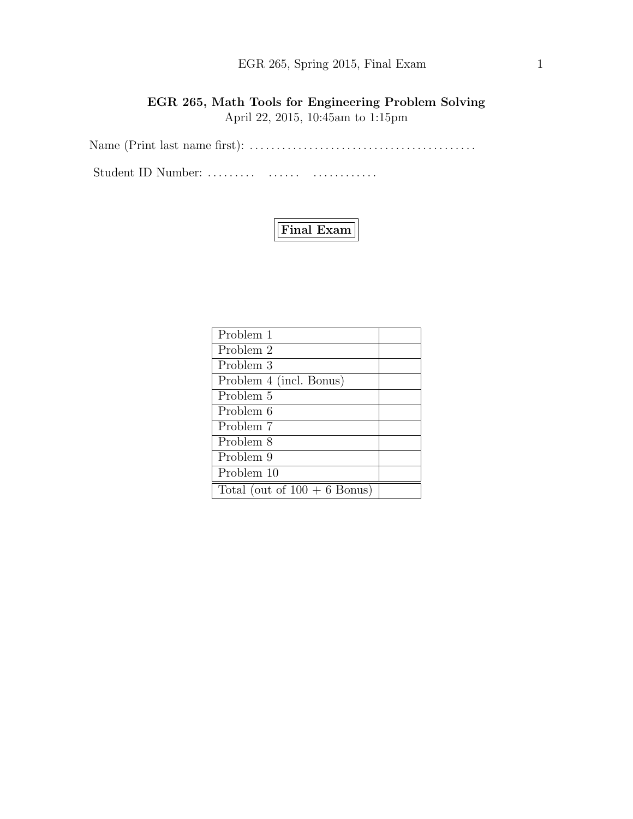## EGR 265, Spring 2015, Final Exam 1

## EGR 265, Math Tools for Engineering Problem Solving April 22, 2015, 10:45am to 1:15pm

Name (Print last name first): . . . . . . . . . . . . . . . . . . . . . . . . . . . . . . . . . . . . . . . . . .

Student ID Number: ......... ....... ................



| Problem 1                      |  |
|--------------------------------|--|
| Problem 2                      |  |
| Problem 3                      |  |
| Problem 4 (incl. Bonus)        |  |
| Problem 5                      |  |
| Problem 6                      |  |
| Problem 7                      |  |
| Problem 8                      |  |
| Problem 9                      |  |
| Problem 10                     |  |
| Total (out of $100 + 6$ Bonus) |  |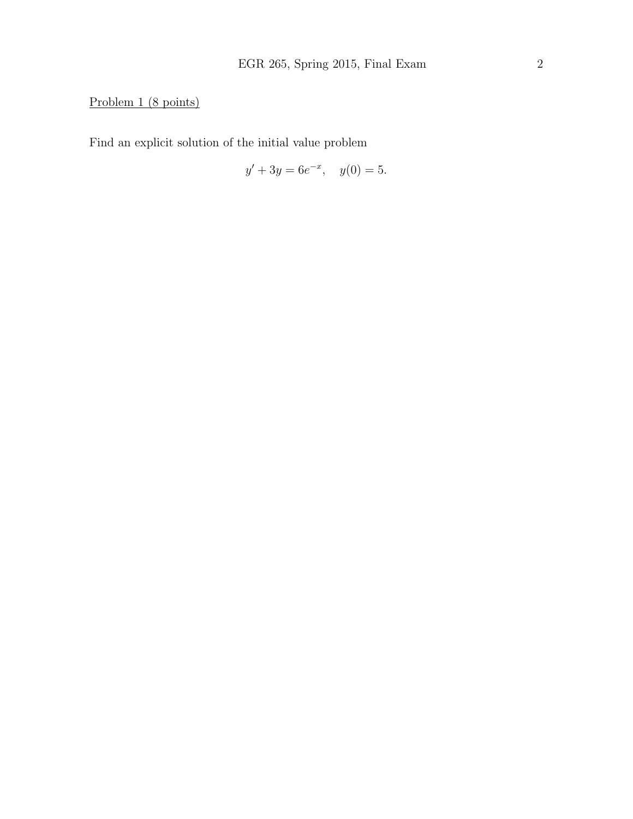# Problem 1 (8 points)

Find an explicit solution of the initial value problem

$$
y' + 3y = 6e^{-x}, \quad y(0) = 5.
$$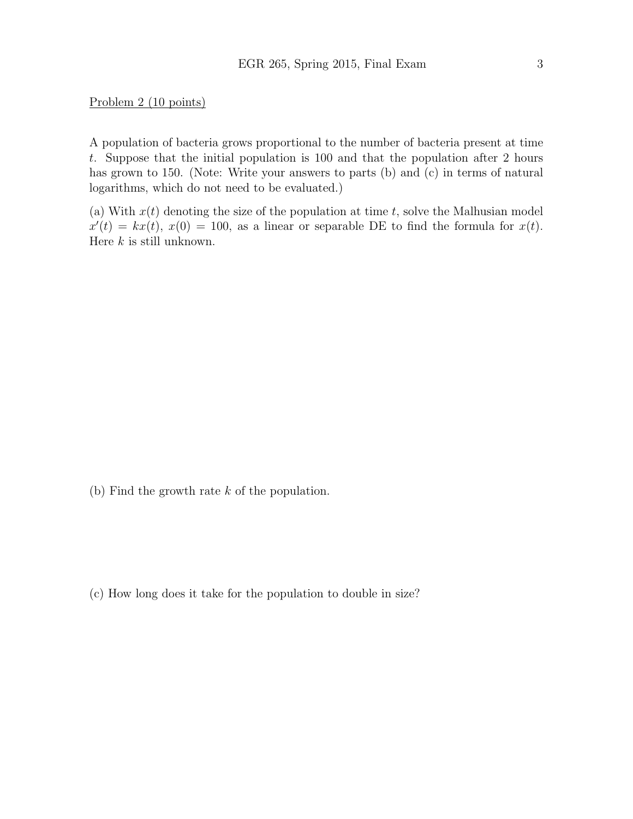Problem 2 (10 points)

A population of bacteria grows proportional to the number of bacteria present at time t. Suppose that the initial population is 100 and that the population after 2 hours has grown to 150. (Note: Write your answers to parts (b) and (c) in terms of natural logarithms, which do not need to be evaluated.)

(a) With  $x(t)$  denoting the size of the population at time t, solve the Malhusian model  $x'(t) = kx(t), x(0) = 100$ , as a linear or separable DE to find the formula for  $x(t)$ . Here  $k$  is still unknown.

(b) Find the growth rate k of the population.

(c) How long does it take for the population to double in size?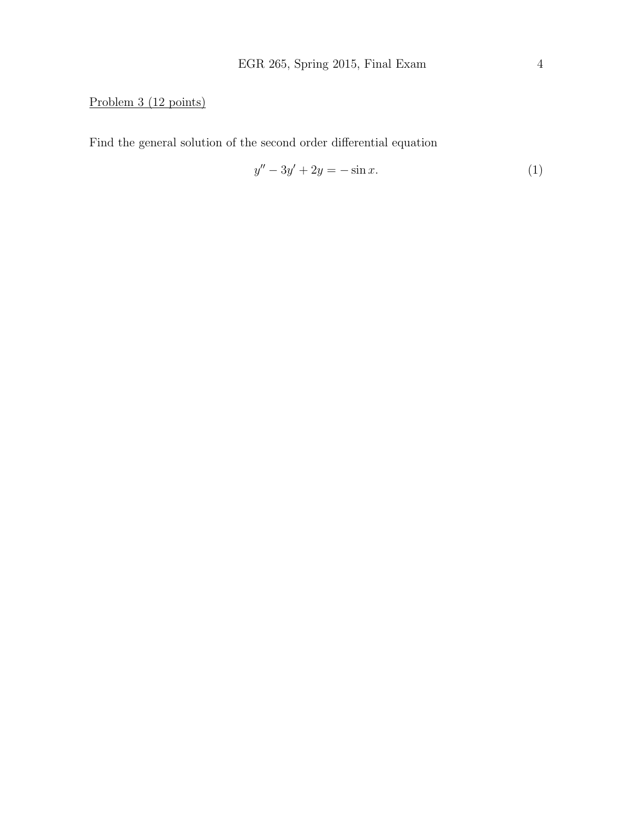# Problem 3 (12 points)

Find the general solution of the second order differential equation

$$
y'' - 3y' + 2y = -\sin x.
$$
 (1)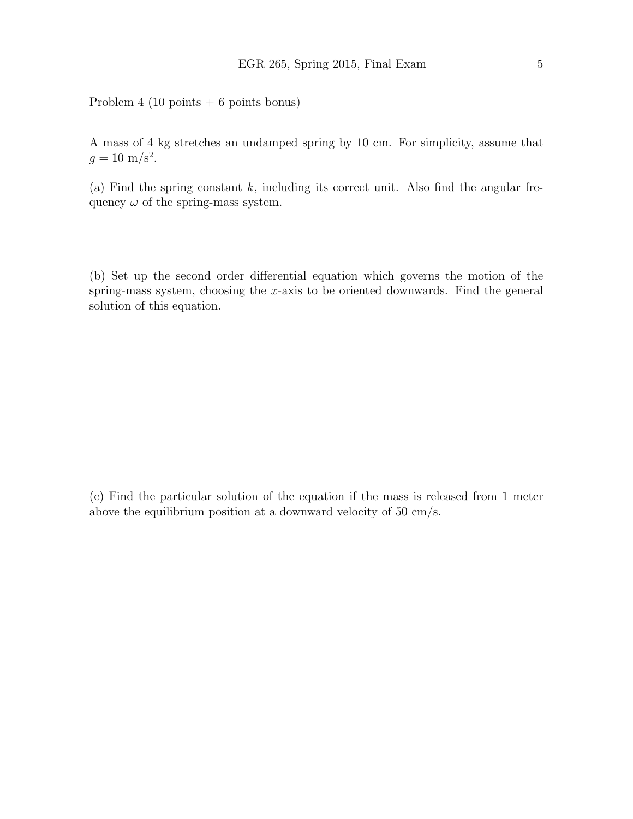### Problem 4 (10 points + 6 points bonus)

A mass of 4 kg stretches an undamped spring by 10 cm. For simplicity, assume that  $g = 10 \text{ m/s}^2$ .

(a) Find the spring constant  $k$ , including its correct unit. Also find the angular frequency  $\omega$  of the spring-mass system.

(b) Set up the second order differential equation which governs the motion of the spring-mass system, choosing the x-axis to be oriented downwards. Find the general solution of this equation.

(c) Find the particular solution of the equation if the mass is released from 1 meter above the equilibrium position at a downward velocity of 50 cm/s.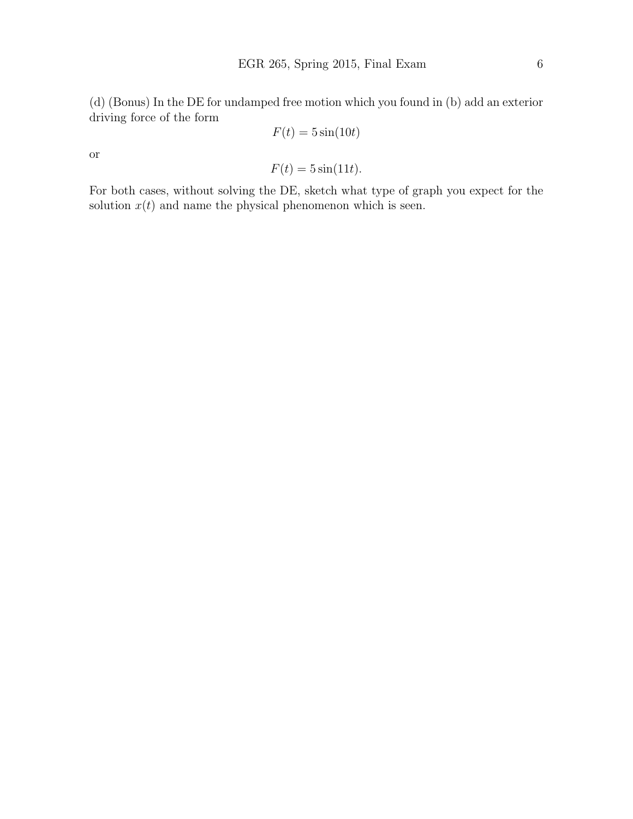(d) (Bonus) In the DE for undamped free motion which you found in (b) add an exterior driving force of the form

$$
F(t) = 5\sin(10t)
$$

or

$$
F(t) = 5\sin(11t).
$$

For both cases, without solving the DE, sketch what type of graph you expect for the solution  $x(t)$  and name the physical phenomenon which is seen.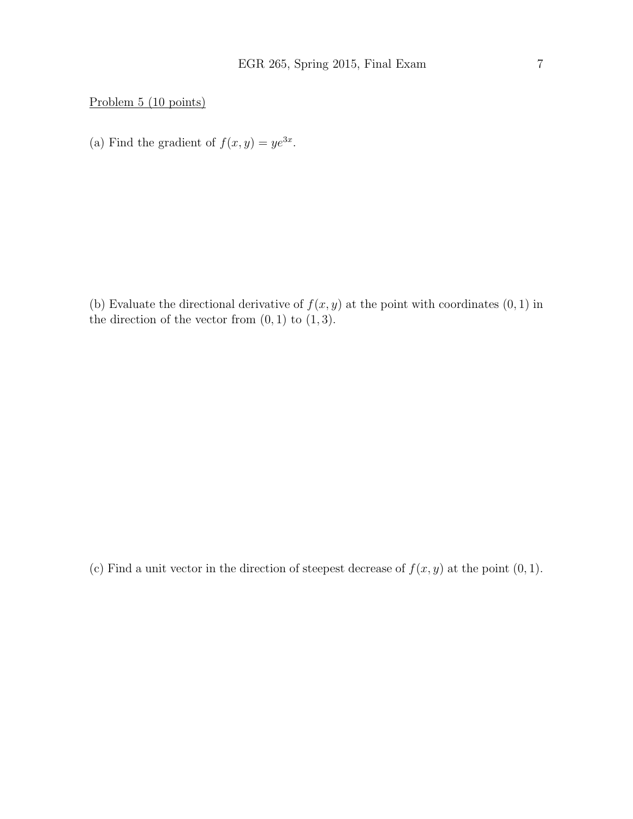Problem 5 (10 points)

(a) Find the gradient of  $f(x, y) = ye^{3x}$ .

(b) Evaluate the directional derivative of  $f(x, y)$  at the point with coordinates  $(0, 1)$  in the direction of the vector from  $(0, 1)$  to  $(1, 3)$ .

(c) Find a unit vector in the direction of steepest decrease of  $f(x, y)$  at the point  $(0, 1)$ .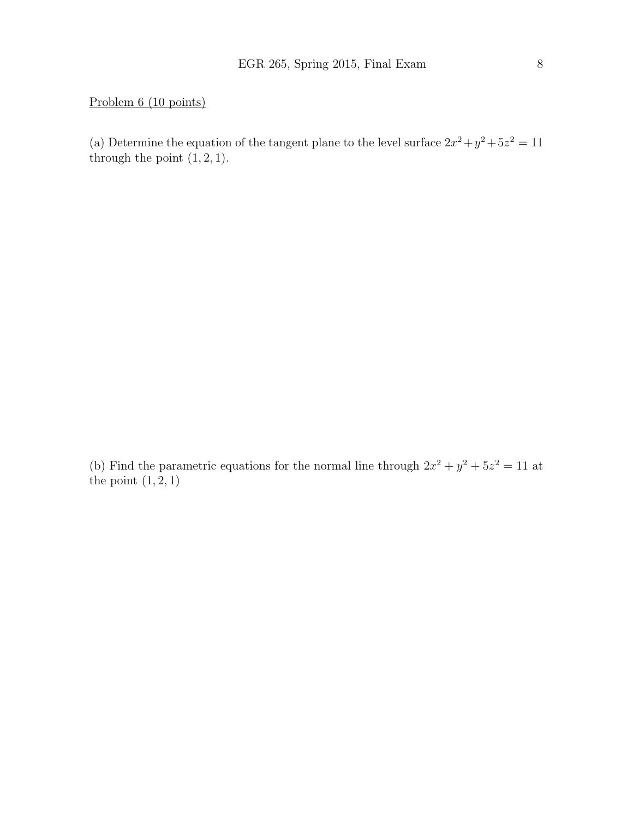Problem 6 (10 points)

(a) Determine the equation of the tangent plane to the level surface  $2x^2 + y^2 + 5z^2 = 11$ through the point  $(1, 2, 1)$ .

(b) Find the parametric equations for the normal line through  $2x^2 + y^2 + 5z^2 = 11$  at the point  $(1, 2, 1)$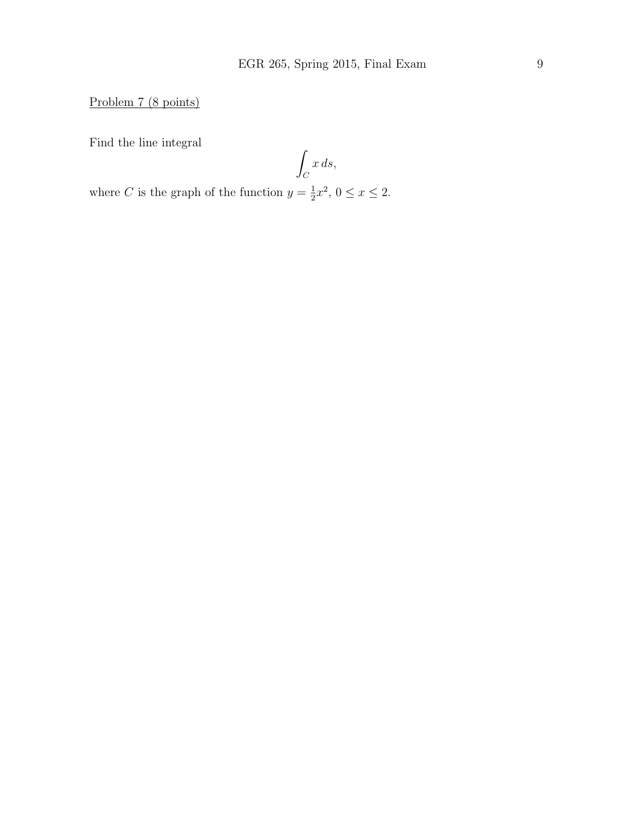Problem 7 (8 points)

Find the line integral

$$
\int_C x \, ds,
$$

where C is the graph of the function  $y=\frac{1}{2}$  $\frac{1}{2}x^2, 0 \le x \le 2.$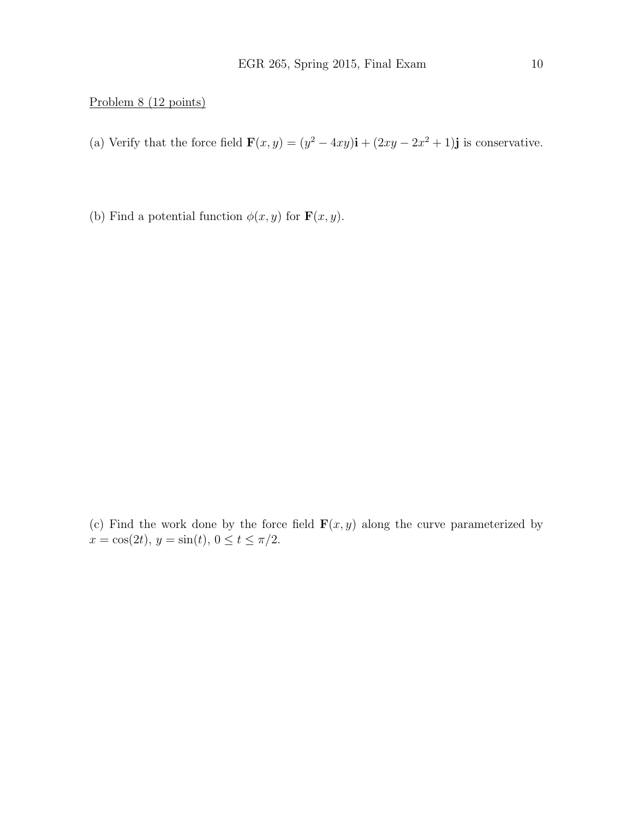#### Problem 8 (12 points)

- (a) Verify that the force field  $\mathbf{F}(x, y) = (y^2 4xy)\mathbf{i} + (2xy 2x^2 + 1)\mathbf{j}$  is conservative.
- (b) Find a potential function  $\phi(x, y)$  for  $\mathbf{F}(x, y)$ .

(c) Find the work done by the force field  $\mathbf{F}(x, y)$  along the curve parameterized by  $x = \cos(2t), y = \sin(t), 0 \le t \le \pi/2.$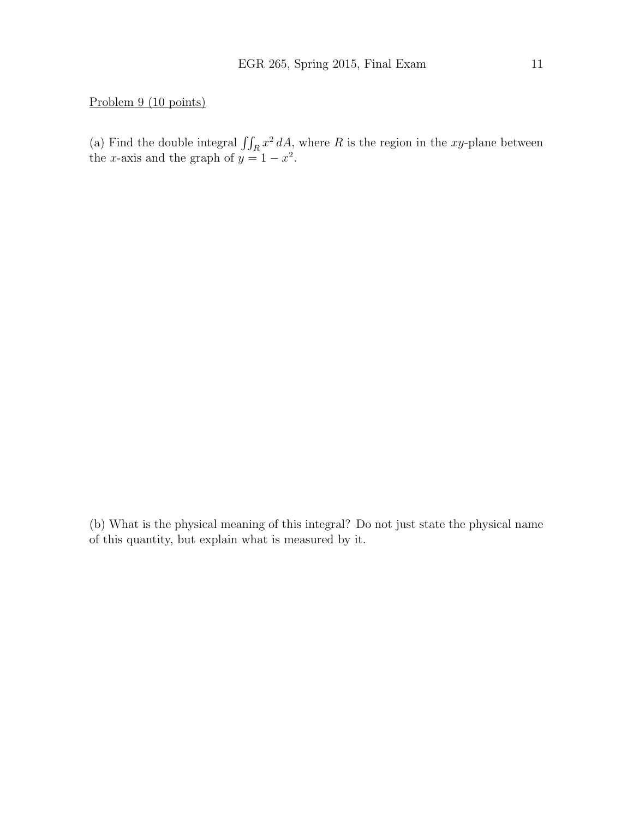#### Problem 9 (10 points)

(a) Find the double integral  $\iint_R x^2 dA$ , where R is the region in the xy-plane between the x-axis and the graph of  $y = 1 - x^2$ .

(b) What is the physical meaning of this integral? Do not just state the physical name of this quantity, but explain what is measured by it.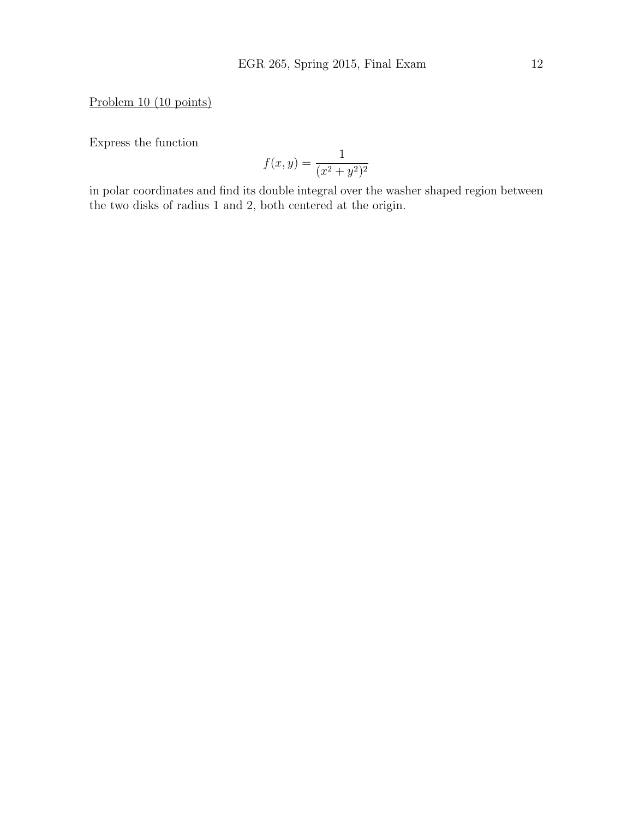Problem 10 (10 points)

Express the function

$$
f(x,y) = \frac{1}{(x^2 + y^2)^2}
$$

in polar coordinates and find its double integral over the washer shaped region between the two disks of radius 1 and 2, both centered at the origin.